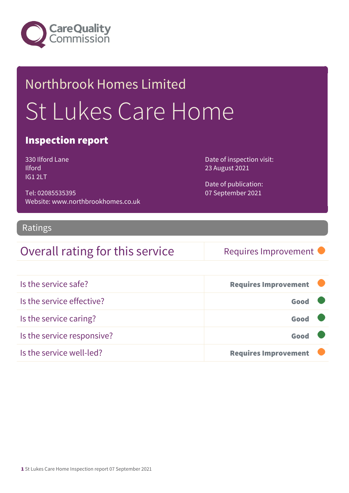

## Northbrook Homes Limited St Lukes Care Home

#### Inspection report

330 Ilford Lane Ilford IG1 2LT

Tel: 02085535395 Website: www.northbrookhomes.co.uk Date of inspection visit: 23 August 2021

Date of publication: 07 September 2021

#### Ratings

### Overall rating for this service Requires Improvement

| Is the service safe?       | <b>Requires Improvement</b> |
|----------------------------|-----------------------------|
| Is the service effective?  | Good                        |
| Is the service caring?     | Good                        |
| Is the service responsive? | Good                        |
| Is the service well-led?   | <b>Requires Improvement</b> |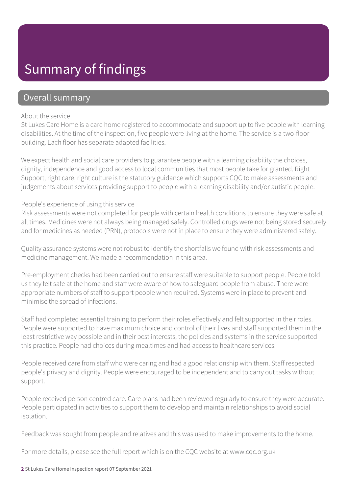### Summary of findings

#### Overall summary

#### About the service

St Lukes Care Home is a care home registered to accommodate and support up to five people with learning disabilities. At the time of the inspection, five people were living at the home. The service is a two-floor building. Each floor has separate adapted facilities.

We expect health and social care providers to guarantee people with a learning disability the choices, dignity, independence and good access to local communities that most people take for granted. Right Support, right care, right culture is the statutory guidance which supports CQC to make assessments and judgements about services providing support to people with a learning disability and/or autistic people.

#### People's experience of using this service

Risk assessments were not completed for people with certain health conditions to ensure they were safe at all times. Medicines were not always being managed safely. Controlled drugs were not being stored securely and for medicines as needed (PRN), protocols were not in place to ensure they were administered safely.

Quality assurance systems were not robust to identify the shortfalls we found with risk assessments and medicine management. We made a recommendation in this area.

Pre-employment checks had been carried out to ensure staff were suitable to support people. People told us they felt safe at the home and staff were aware of how to safeguard people from abuse. There were appropriate numbers of staff to support people when required. Systems were in place to prevent and minimise the spread of infections.

Staff had completed essential training to perform their roles effectively and felt supported in their roles. People were supported to have maximum choice and control of their lives and staff supported them in the least restrictive way possible and in their best interests; the policies and systems in the service supported this practice. People had choices during mealtimes and had access to healthcare services.

People received care from staff who were caring and had a good relationship with them. Staff respected people's privacy and dignity. People were encouraged to be independent and to carry out tasks without support.

People received person centred care. Care plans had been reviewed regularly to ensure they were accurate. People participated in activities to support them to develop and maintain relationships to avoid social isolation.

Feedback was sought from people and relatives and this was used to make improvements to the home.

For more details, please see the full report which is on the CQC website at www.cqc.org.uk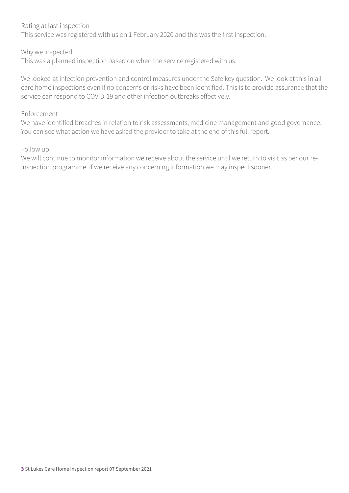#### Rating at last inspection

This service was registered with us on 1 February 2020 and this was the first inspection.

#### Why we inspected

This was a planned inspection based on when the service registered with us.

We looked at infection prevention and control measures under the Safe key question. We look at this in all care home inspections even if no concerns or risks have been identified. This is to provide assurance that the service can respond to COVID-19 and other infection outbreaks effectively.

#### Enforcement

We have identified breaches in relation to risk assessments, medicine management and good governance. You can see what action we have asked the provider to take at the end of this full report.

#### Follow up

We will continue to monitor information we receive about the service until we return to visit as per our reinspection programme. If we receive any concerning information we may inspect sooner.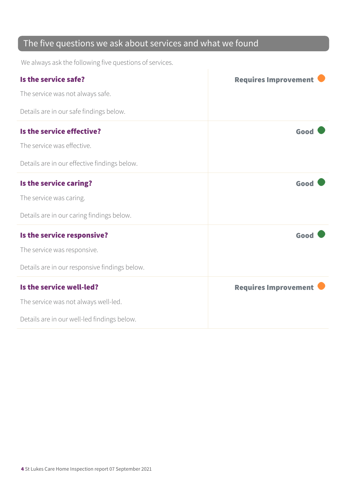### The five questions we ask about services and what we found

We always ask the following five questions of services.

| Is the service safe?                          | <b>Requires Improvement</b> |
|-----------------------------------------------|-----------------------------|
| The service was not always safe.              |                             |
| Details are in our safe findings below.       |                             |
| Is the service effective?                     | Good                        |
| The service was effective.                    |                             |
| Details are in our effective findings below.  |                             |
| Is the service caring?                        | Good                        |
| The service was caring.                       |                             |
| Details are in our caring findings below.     |                             |
| Is the service responsive?                    | Good                        |
| The service was responsive.                   |                             |
| Details are in our responsive findings below. |                             |
| Is the service well-led?                      | <b>Requires Improvement</b> |
| The service was not always well-led.          |                             |
| Details are in our well-led findings below.   |                             |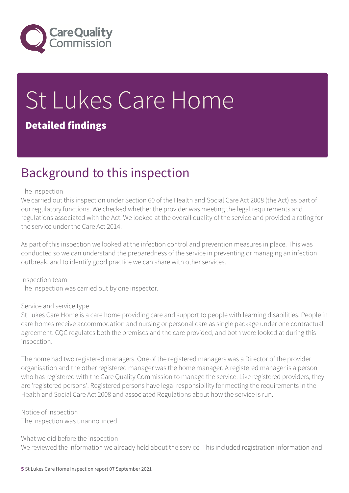

# St Lukes Care Home

#### Detailed findings

### Background to this inspection

#### The inspection

We carried out this inspection under Section 60 of the Health and Social Care Act 2008 (the Act) as part of our regulatory functions. We checked whether the provider was meeting the legal requirements and regulations associated with the Act. We looked at the overall quality of the service and provided a rating for the service under the Care Act 2014.

As part of this inspection we looked at the infection control and prevention measures in place. This was conducted so we can understand the preparedness of the service in preventing or managing an infection outbreak, and to identify good practice we can share with other services.

Inspection team The inspection was carried out by one inspector.

#### Service and service type

St Lukes Care Home is a care home providing care and support to people with learning disabilities. People in care homes receive accommodation and nursing or personal care as single package under one contractual agreement. CQC regulates both the premises and the care provided, and both were looked at during this inspection.

The home had two registered managers. One of the registered managers was a Director of the provider organisation and the other registered manager was the home manager. A registered manager is a person who has registered with the Care Quality Commission to manage the service. Like registered providers, they are 'registered persons'. Registered persons have legal responsibility for meeting the requirements in the Health and Social Care Act 2008 and associated Regulations about how the service is run.

#### Notice of inspection

The inspection was unannounced.

#### What we did before the inspection

We reviewed the information we already held about the service. This included registration information and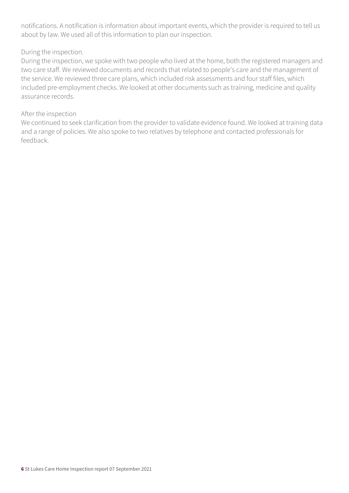notifications. A notification is information about important events, which the provider is required to tell us about by law. We used all of this information to plan our inspection.

#### During the inspection.

During the inspection, we spoke with two people who lived at the home, both the registered managers and two care staff. We reviewed documents and records that related to people's care and the management of the service. We reviewed three care plans, which included risk assessments and four staff files, which included pre-employment checks. We looked at other documents such as training, medicine and quality assurance records.

#### After the inspection

We continued to seek clarification from the provider to validate evidence found. We looked at training data and a range of policies. We also spoke to two relatives by telephone and contacted professionals for feedback.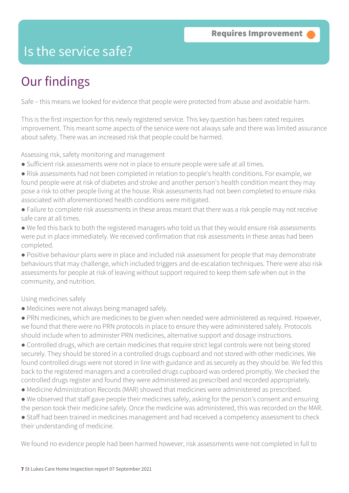### Is the service safe?

### Our findings

Safe – this means we looked for evidence that people were protected from abuse and avoidable harm.

This is the first inspection for this newly registered service. This key question has been rated requires improvement. This meant some aspects of the service were not always safe and there was limited assurance about safety. There was an increased risk that people could be harmed.

Assessing risk, safety monitoring and management

- Sufficient risk assessments were not in place to ensure people were safe at all times.
- Risk assessments had not been completed in relation to people's health conditions. For example, we found people were at risk of diabetes and stroke and another person's health condition meant they may pose a risk to other people living at the house. Risk assessments had not been completed to ensure risks associated with aforementioned health conditions were mitigated.
- Failure to complete risk assessments in these areas meant that there was a risk people may not receive safe care at all times.
- We fed this back to both the registered managers who told us that they would ensure risk assessments were put in place immediately. We received confirmation that risk assessments in these areas had been completed.
- Positive behaviour plans were in place and included risk assessment for people that may demonstrate behaviours that may challenge, which included triggers and de-escalation techniques. There were also risk assessments for people at risk of leaving without support required to keep them safe when out in the community, and nutrition.

#### Using medicines safely

- Medicines were not always being managed safely.
- PRN medicines, which are medicines to be given when needed were administered as required. However, we found that there were no PRN protocols in place to ensure they were administered safely. Protocols should include when to administer PRN medicines, alternative support and dosage instructions.
- Controlled drugs, which are certain medicines that require strict legal controls were not being stored securely. They should be stored in a controlled drugs cupboard and not stored with other medicines. We found controlled drugs were not stored in line with guidance and as securely as they should be. We fed this back to the registered managers and a controlled drugs cupboard was ordered promptly. We checked the controlled drugs register and found they were administered as prescribed and recorded appropriately.
- Medicine Administration Records (MAR) showed that medicines were administered as prescribed.
- We observed that staff gave people their medicines safely, asking for the person's consent and ensuring the person took their medicine safely. Once the medicine was administered, this was recorded on the MAR.
- Staff had been trained in medicines management and had received a competency assessment to check their understanding of medicine.

We found no evidence people had been harmed however, risk assessments were not completed in full to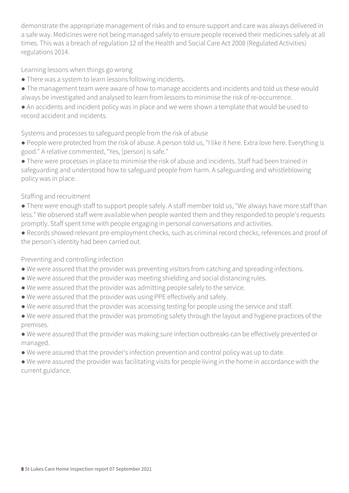demonstrate the appropriate management of risks and to ensure support and care was always delivered in a safe way. Medicines were not being managed safely to ensure people received their medicines safely at all times. This was a breach of regulation 12 of the Health and Social Care Act 2008 (Regulated Activities) regulations 2014.

Learning lessons when things go wrong

- There was a system to learn lessons following incidents.
- The management team were aware of how to manage accidents and incidents and told us these would always be investigated and analysed to learn from lessons to minimise the risk of re-occurrence.
- An accidents and incident policy was in place and we were shown a template that would be used to record accident and incidents.

Systems and processes to safeguard people from the risk of abuse

● People were protected from the risk of abuse. A person told us, "I like it here. Extra love here. Everything is good." A relative commented, "Yes, [person] is safe."

● There were processes in place to minimise the risk of abuse and incidents. Staff had been trained in safeguarding and understood how to safeguard people from harm. A safeguarding and whistleblowing policy was in place.

#### Staffing and recruitment

● There were enough staff to support people safely. A staff member told us, "We always have more staff than less." We observed staff were available when people wanted them and they responded to people's requests promptly. Staff spent time with people engaging in personal conversations and activities.

● Records showed relevant pre-employment checks, such as criminal record checks, references and proof of the person's identity had been carried out.

#### Preventing and controlling infection

- We were assured that the provider was preventing visitors from catching and spreading infections.
- We were assured that the provider was meeting shielding and social distancing rules.
- We were assured that the provider was admitting people safely to the service.
- We were assured that the provider was using PPE effectively and safely.
- We were assured that the provider was accessing testing for people using the service and staff.
- We were assured that the provider was promoting safety through the layout and hygiene practices of the premises.

● We were assured that the provider was making sure infection outbreaks can be effectively prevented or managed.

● We were assured that the provider's infection prevention and control policy was up to date.

● We were assured the provider was facilitating visits for people living in the home in accordance with the current guidance.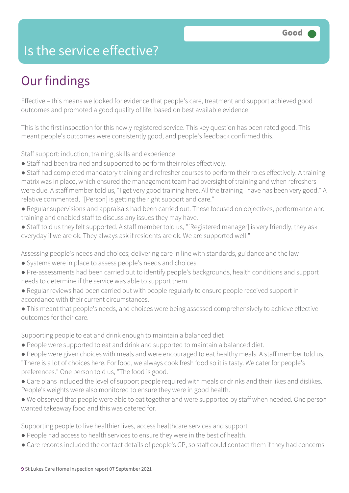### Is the service effective?

### Our findings

Effective – this means we looked for evidence that people's care, treatment and support achieved good outcomes and promoted a good quality of life, based on best available evidence.

This is the first inspection for this newly registered service. This key question has been rated good. This meant people's outcomes were consistently good, and people's feedback confirmed this.

Staff support: induction, training, skills and experience

- Staff had been trained and supported to perform their roles effectively.
- Staff had completed mandatory training and refresher courses to perform their roles effectively. A training matrix was in place, which ensured the management team had oversight of training and when refreshers were due. A staff member told us, "I get very good training here. All the training I have has been very good." A relative commented, "[Person] is getting the right support and care."
- Regular supervisions and appraisals had been carried out. These focused on objectives, performance and training and enabled staff to discuss any issues they may have.
- Staff told us they felt supported. A staff member told us, "[Registered manager] is very friendly, they ask everyday if we are ok. They always ask if residents are ok. We are supported well."

Assessing people's needs and choices; delivering care in line with standards, guidance and the law

- Systems were in place to assess people's needs and choices.
- Pre-assessments had been carried out to identify people's backgrounds, health conditions and support needs to determine if the service was able to support them.
- Regular reviews had been carried out with people regularly to ensure people received support in accordance with their current circumstances.
- This meant that people's needs, and choices were being assessed comprehensively to achieve effective outcomes for their care.

Supporting people to eat and drink enough to maintain a balanced diet

- People were supported to eat and drink and supported to maintain a balanced diet.
- People were given choices with meals and were encouraged to eat healthy meals. A staff member told us, "There is a lot of choices here. For food, we always cook fresh food so it is tasty. We cater for people's preferences." One person told us, "The food is good."
- Care plans included the level of support people required with meals or drinks and their likes and dislikes. People's weights were also monitored to ensure they were in good health.
- We observed that people were able to eat together and were supported by staff when needed. One person wanted takeaway food and this was catered for.

Supporting people to live healthier lives, access healthcare services and support

- People had access to health services to ensure they were in the best of health.
- Care records included the contact details of people's GP, so staff could contact them if they had concerns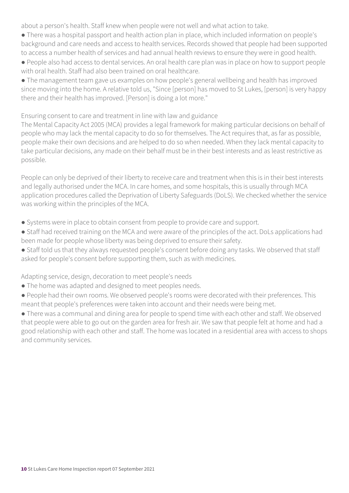about a person's health. Staff knew when people were not well and what action to take.

- There was a hospital passport and health action plan in place, which included information on people's background and care needs and access to health services. Records showed that people had been supported to access a number health of services and had annual health reviews to ensure they were in good health.
- People also had access to dental services. An oral health care plan was in place on how to support people with oral health. Staff had also been trained on oral healthcare.
- The management team gave us examples on how people's general wellbeing and health has improved since moving into the home. A relative told us, "Since [person] has moved to St Lukes, [person] is very happy there and their health has improved. [Person] is doing a lot more."

Ensuring consent to care and treatment in line with law and guidance

The Mental Capacity Act 2005 (MCA) provides a legal framework for making particular decisions on behalf of people who may lack the mental capacity to do so for themselves. The Act requires that, as far as possible, people make their own decisions and are helped to do so when needed. When they lack mental capacity to take particular decisions, any made on their behalf must be in their best interests and as least restrictive as possible.

People can only be deprived of their liberty to receive care and treatment when this is in their best interests and legally authorised under the MCA. In care homes, and some hospitals, this is usually through MCA application procedures called the Deprivation of Liberty Safeguards (DoLS). We checked whether the service was working within the principles of the MCA.

- Systems were in place to obtain consent from people to provide care and support.
- Staff had received training on the MCA and were aware of the principles of the act. DoLs applications had been made for people whose liberty was being deprived to ensure their safety.
- Staff told us that they always requested people's consent before doing any tasks. We observed that staff asked for people's consent before supporting them, such as with medicines.

Adapting service, design, decoration to meet people's needs

- The home was adapted and designed to meet peoples needs.
- People had their own rooms. We observed people's rooms were decorated with their preferences. This meant that people's preferences were taken into account and their needs were being met.

● There was a communal and dining area for people to spend time with each other and staff. We observed that people were able to go out on the garden area for fresh air. We saw that people felt at home and had a good relationship with each other and staff. The home was located in a residential area with access to shops and community services.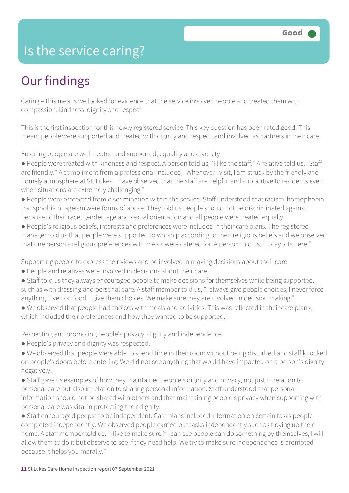### Is the service caring?

### Our findings

Caring – this means we looked for evidence that the service involved people and treated them with compassion, kindness, dignity and respect.

This is the first inspection for this newly registered service. This key question has been rated good. This meant people were supported and treated with dignity and respect; and involved as partners in their care.

Ensuring people are well treated and supported; equality and diversity

- People were treated with kindness and respect. A person told us, "I like the staff." A relative told us, "Staff are friendly." A compliment from a professional included, "Whenever I visit, I am struck by the friendly and homely atmosphere at St. Lukes. I have observed that the staff are helpful and supportive to residents even when situations are extremely challenging."
- People were protected from discrimination within the service. Staff understood that racism, homophobia, transphobia or ageism were forms of abuse. They told us people should not be discriminated against because of their race, gender, age and sexual orientation and all people were treated equally.
- People's religious beliefs, interests and preferences were included in their care plans. The registered manager told us that people were supported to worship according to their religious beliefs and we observed that one person's religious preferences with meals were catered for. A person told us, "I pray lots here."

Supporting people to express their views and be involved in making decisions about their care

- People and relatives were involved in decisions about their care.
- Staff told us they always encouraged people to make decisions for themselves while being supported, such as with dressing and personal care. A staff member told us, "I always give people choices, I never force anything. Even on food, I give them choices. We make sure they are involved in decision making."
- We observed that people had choices with meals and activities. This was reflected in their care plans, which included their preferences and how they wanted to be supported.

Respecting and promoting people's privacy, dignity and independence

- People's privacy and dignity was respected.
- We observed that people were able to spend time in their room without being disturbed and staff knocked on people's doors before entering. We did not see anything that would have impacted on a person's dignity negatively.
- Staff gave us examples of how they maintained people's dignity and privacy, not just in relation to personal care but also in relation to sharing personal information. Staff understood that personal information should not be shared with others and that maintaining people's privacy when supporting with personal care was vital in protecting their dignity.

● Staff encouraged people to be independent. Care plans included information on certain tasks people completed independently. We observed people carried out tasks independently such as tidying up their home. A staff member told us, "I like to make sure if I can see people can do something by themselves, I will allow them to do it but observe to see if they need help. We try to make sure independence is promoted because it helps you morally."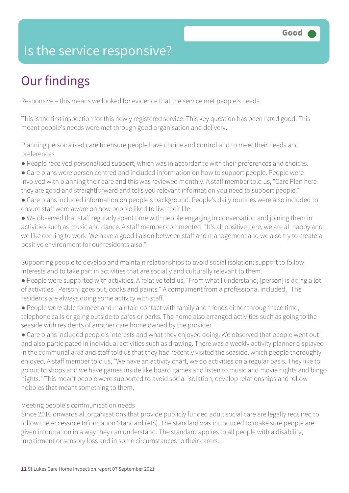### Is the service responsive?

### Our findings

Responsive – this means we looked for evidence that the service met people's needs.

This is the first inspection for this newly registered service. This key question has been rated good. This meant people's needs were met through good organisation and delivery.

Planning personalised care to ensure people have choice and control and to meet their needs and preferences

- People received personalised support, which was in accordance with their preferences and choices.
- Care plans were person centred and included information on how to support people. People were involved with planning their care and this was reviewed monthly. A staff member told us, "Care Plan here they are good and straightforward and tells you relevant information you need to support people."
- Care plans included information on people's background. People's daily routines were also included to ensure staff were aware on how people liked to live their life.
- We observed that staff regularly spent time with people engaging in conversation and joining them in activities such as music and dance. A staff member commented, "It's all positive here, we are all happy and we like coming to work. We have a good liaison between staff and management and we also try to create a positive environment for our residents also."

Supporting people to develop and maintain relationships to avoid social isolation; support to follow interests and to take part in activities that are socially and culturally relevant to them.

- People were supported with activities. A relative told us, "From what I understand, [person] is doing a lot of activities. [Person] goes out, cooks and paints." A compliment from a professional included, "The residents are always doing some activity with staff."
- People were able to meet and maintain contact with family and friends either through face time, telephone calls or going outside to cafes or parks. The home also arranged activities such as going to the seaside with residents of another care home owned by the provider.
- Care plans included people's interests and what they enjoyed doing. We observed that people went out and also participated in individual activities such as drawing. There was a weekly activity planner displayed in the communal area and staff told us that they had recently visited the seaside, which people thoroughly enjoyed. A staff member told us, "We have an activity chart, we do activities on a regular basis. They like to go out to shops and we have games inside like board games and listen to music and movie nights and bingo nights." This meant people were supported to avoid social isolation, develop relationships and follow hobbies that meant something to them.

#### Meeting people's communication needs

Since 2016 onwards all organisations that provide publicly funded adult social care are legally required to follow the Accessible Information Standard (AIS). The standard was introduced to make sure people are given information in a way they can understand. The standard applies to all people with a disability, impairment or sensory loss and in some circumstances to their carers.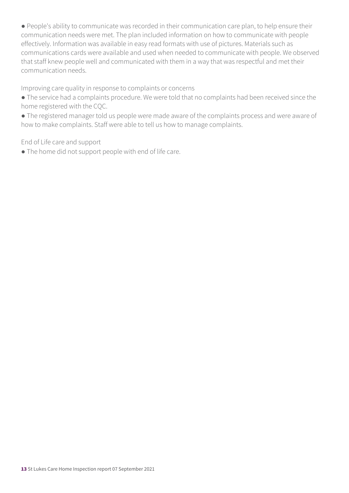● People's ability to communicate was recorded in their communication care plan, to help ensure their communication needs were met. The plan included information on how to communicate with people effectively. Information was available in easy read formats with use of pictures. Materials such as communications cards were available and used when needed to communicate with people. We observed that staff knew people well and communicated with them in a way that was respectful and met their communication needs.

Improving care quality in response to complaints or concerns

● The service had a complaints procedure. We were told that no complaints had been received since the home registered with the CQC.

● The registered manager told us people were made aware of the complaints process and were aware of how to make complaints. Staff were able to tell us how to manage complaints.

End of Life care and support

● The home did not support people with end of life care.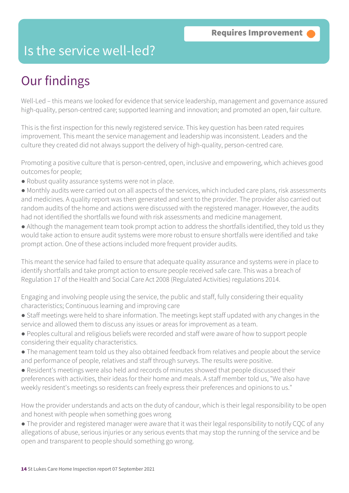### Is the service well-led?

### Our findings

Well-Led – this means we looked for evidence that service leadership, management and governance assured high-quality, person-centred care; supported learning and innovation; and promoted an open, fair culture.

This is the first inspection for this newly registered service. This key question has been rated requires improvement. This meant the service management and leadership was inconsistent. Leaders and the culture they created did not always support the delivery of high-quality, person-centred care.

Promoting a positive culture that is person-centred, open, inclusive and empowering, which achieves good outcomes for people;

- Robust quality assurance systems were not in place.
- Monthly audits were carried out on all aspects of the services, which included care plans, risk assessments and medicines. A quality report was then generated and sent to the provider. The provider also carried out random audits of the home and actions were discussed with the registered manager. However, the audits had not identified the shortfalls we found with risk assessments and medicine management.
- Although the management team took prompt action to address the shortfalls identified, they told us they would take action to ensure audit systems were more robust to ensure shortfalls were identified and take prompt action. One of these actions included more frequent provider audits.

This meant the service had failed to ensure that adequate quality assurance and systems were in place to identify shortfalls and take prompt action to ensure people received safe care. This was a breach of Regulation 17 of the Health and Social Care Act 2008 (Regulated Activities) regulations 2014.

Engaging and involving people using the service, the public and staff, fully considering their equality characteristics; Continuous learning and improving care

- Staff meetings were held to share information. The meetings kept staff updated with any changes in the service and allowed them to discuss any issues or areas for improvement as a team.
- Peoples cultural and religious beliefs were recorded and staff were aware of how to support people considering their equality characteristics.
- The management team told us they also obtained feedback from relatives and people about the service and performance of people, relatives and staff through surveys. The results were positive.
- Resident's meetings were also held and records of minutes showed that people discussed their preferences with activities, their ideas for their home and meals. A staff member told us, "We also have weekly resident's meetings so residents can freely express their preferences and opinions to us."

How the provider understands and acts on the duty of candour, which is their legal responsibility to be open and honest with people when something goes wrong

● The provider and registered manager were aware that it was their legal responsibility to notify CQC of any allegations of abuse, serious injuries or any serious events that may stop the running of the service and be open and transparent to people should something go wrong.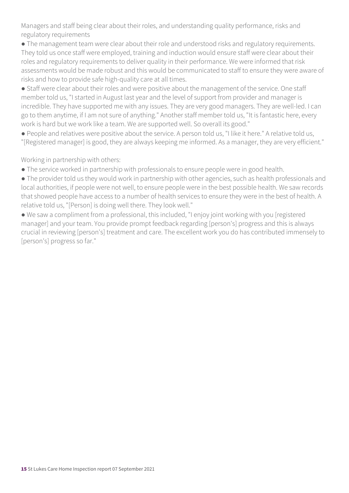Managers and staff being clear about their roles, and understanding quality performance, risks and regulatory requirements

● The management team were clear about their role and understood risks and regulatory requirements. They told us once staff were employed, training and induction would ensure staff were clear about their roles and regulatory requirements to deliver quality in their performance. We were informed that risk assessments would be made robust and this would be communicated to staff to ensure they were aware of risks and how to provide safe high-quality care at all times.

● Staff were clear about their roles and were positive about the management of the service. One staff member told us, "I started in August last year and the level of support from provider and manager is incredible. They have supported me with any issues. They are very good managers. They are well-led. I can go to them anytime, if I am not sure of anything." Another staff member told us, "It is fantastic here, every work is hard but we work like a team. We are supported well. So overall its good."

● People and relatives were positive about the service. A person told us, "I like it here." A relative told us, "[Registered manager] is good, they are always keeping me informed. As a manager, they are very efficient."

Working in partnership with others:

● The service worked in partnership with professionals to ensure people were in good health.

● The provider told us they would work in partnership with other agencies, such as health professionals and local authorities, if people were not well, to ensure people were in the best possible health. We saw records that showed people have access to a number of health services to ensure they were in the best of health. A relative told us, "[Person] is doing well there. They look well."

● We saw a compliment from a professional, this included, "I enjoy joint working with you [registered manager] and your team. You provide prompt feedback regarding [person's] progress and this is always crucial in reviewing [person's] treatment and care. The excellent work you do has contributed immensely to [person's] progress so far."